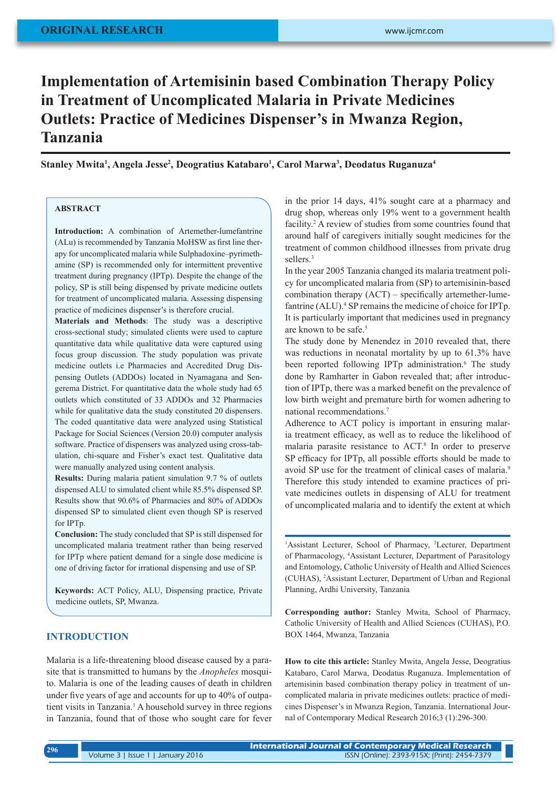# **Implementation of Artemisinin based Combination Therapy Policy in Treatment of Uncomplicated Malaria in Private Medicines Outlets: Practice of Medicines Dispenser's in Mwanza Region, Tanzania**

**Stanley Mwita1 , Angela Jesse2 , Deogratius Katabaro1 , Carol Marwa3 , Deodatus Ruganuza4**

# **ABSTRACT**

**Introduction:** A combination of Artemether-lumefantrine (ALu) is recommended by Tanzania MoHSW as first line therapy for uncomplicated malaria while Sulphadoxine–pyrimethamine (SP) is recommended only for intermittent preventive treatment during pregnancy (IPTp). Despite the change of the policy, SP is still being dispensed by private medicine outlets for treatment of uncomplicated malaria. Assessing dispensing practice of medicines dispenser's is therefore crucial.

**Materials and Methods**: The study was a descriptive cross-sectional study; simulated clients were used to capture quantitative data while qualitative data were captured using focus group discussion. The study population was private medicine outlets i.e Pharmacies and Accredited Drug Dispensing Outlets (ADDOs) located in Nyamagana and Sengerema District. For quantitative data the whole study had 65 outlets which constituted of 33 ADDOs and 32 Pharmacies while for qualitative data the study constituted 20 dispensers. The coded quantitative data were analyzed using Statistical Package for Social Sciences (Version 20.0) computer analysis software. Practice of dispensers was analyzed using cross-tabulation, chi-square and Fisher's exact test. Qualitative data were manually analyzed using content analysis.

**Results:** During malaria patient simulation 9.7 % of outlets dispensed ALU to simulated client while 85.5% dispensed SP. Results show that 90.6% of Pharmacies and 80% of ADDOs dispensed SP to simulated client even though SP is reserved for IPTp.

**Conclusion:** The study concluded that SP is still dispensed for uncomplicated malaria treatment rather than being reserved for IPTp where patient demand for a single dose medicine is one of driving factor for irrational dispensing and use of SP.

**Keywords:** ACT Policy, ALU, Dispensing practice, Private medicine outlets, SP, Mwanza.

# **INTRODUCTION**

Malaria is a life-threatening blood disease caused by a parasite that is transmitted to humans by the *Anopheles* mosquito. Malaria is one of the leading causes of death in children under five years of age and accounts for up to 40% of outpatient visits in Tanzania.<sup>1</sup> A household survey in three regions in Tanzania, found that of those who sought care for fever

in the prior 14 days, 41% sought care at a pharmacy and drug shop, whereas only 19% went to a government health facility.<sup>2</sup> A review of studies from some countries found that around half of caregivers initially sought medicines for the treatment of common childhood illnesses from private drug sellers.<sup>3</sup>

In the year 2005 Tanzania changed its malaria treatment policy for uncomplicated malaria from (SP) to artemisinin-based combination therapy (ACT) – specifically artemether-lumefantrine (ALU).<sup>4</sup> SP remains the medicine of choice for IPTp. It is particularly important that medicines used in pregnancy are known to be safe.<sup>5</sup>

The study done by Menendez in 2010 revealed that, there was reductions in neonatal mortality by up to 61.3% have been reported following IPTp administration.<sup>6</sup> The study done by Ramharter in Gabon revealed that; after introduction of IPTp, there was a marked benefit on the prevalence of low birth weight and premature birth for women adhering to national recommendations.7

Adherence to ACT policy is important in ensuring malaria treatment efficacy, as well as to reduce the likelihood of malaria parasite resistance to ACT.8 In order to preserve SP efficacy for IPTp, all possible efforts should be made to avoid SP use for the treatment of clinical cases of malaria.<sup>9</sup> Therefore this study intended to examine practices of private medicines outlets in dispensing of ALU for treatment of uncomplicated malaria and to identify the extent at which

<sup>1</sup>Assistant Lecturer, School of Pharmacy, <sup>3</sup>Lecturer, Department of Pharmacology, <sup>4</sup> Assistant Lecturer, Department of Parasitology and Entomology, Catholic University of Health and Allied Sciences (CUHAS), 2 Assistant Lecturer, Department of Urban and Regional Planning, Ardhi University, Tanzania

**Corresponding author:** Stanley Mwita, School of Pharmacy, Catholic University of Health and Allied Sciences (CUHAS), P.O. BOX 1464, Mwanza, Tanzania

**How to cite this article:** Stanley Mwita, Angela Jesse, Deogratius Katabaro, Carol Marwa, Deodatus Ruganuza. Implementation of artemisinin based combination therapy policy in treatment of uncomplicated malaria in private medicines outlets: practice of medicines Dispenser's in Mwanza Region, Tanzania. International Journal of Contemporary Medical Research 2016;3 (1):296-300.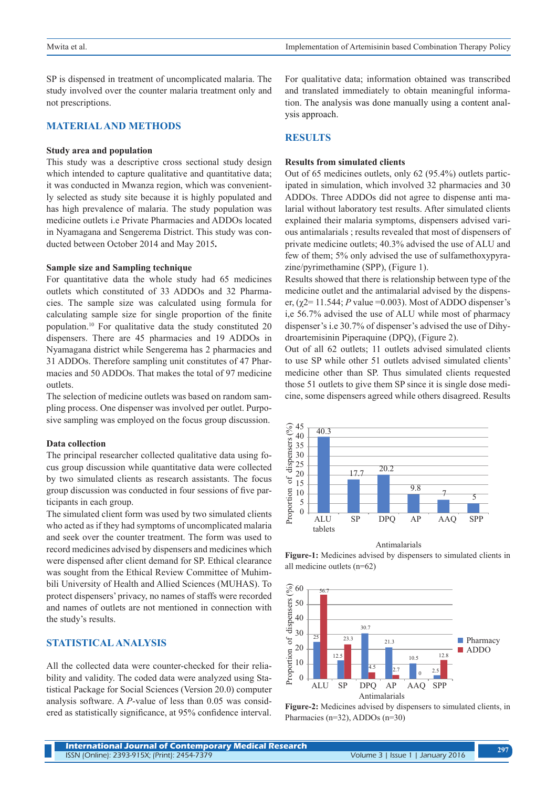SP is dispensed in treatment of uncomplicated malaria. The study involved over the counter malaria treatment only and not prescriptions.

## **MATERIAL AND METHODS**

### **Study area and population**

This study was a descriptive cross sectional study design which intended to capture qualitative and quantitative data; it was conducted in Mwanza region, which was conveniently selected as study site because it is highly populated and has high prevalence of malaria. The study population was medicine outlets i.e Private Pharmacies and ADDOs located in Nyamagana and Sengerema District. This study was conducted between October 2014 and May 2015**.**

## **Sample size and Sampling technique**

For quantitative data the whole study had 65 medicines outlets which constituted of 33 ADDOs and 32 Pharmacies. The sample size was calculated using formula for calculating sample size for single proportion of the finite population.10 For qualitative data the study constituted 20 dispensers. There are 45 pharmacies and 19 ADDOs in Nyamagana district while Sengerema has 2 pharmacies and 31 ADDOs. Therefore sampling unit constitutes of 47 Pharmacies and 50 ADDOs. That makes the total of 97 medicine outlets.

The selection of medicine outlets was based on random sampling process. One dispenser was involved per outlet. Purposive sampling was employed on the focus group discussion.

## **Data collection**

The principal researcher collected qualitative data using focus group discussion while quantitative data were collected by two simulated clients as research assistants. The focus group discussion was conducted in four sessions of five participants in each group.

The simulated client form was used by two simulated clients who acted as if they had symptoms of uncomplicated malaria and seek over the counter treatment. The form was used to record medicines advised by dispensers and medicines which were dispensed after client demand for SP. Ethical clearance was sought from the Ethical Review Committee of Muhimbili University of Health and Allied Sciences (MUHAS). To protect dispensers' privacy, no names of staffs were recorded and names of outlets are not mentioned in connection with the study's results.

# **STATISTICAL ANALYSIS**

All the collected data were counter-checked for their reliability and validity. The coded data were analyzed using Statistical Package for Social Sciences (Version 20.0) computer analysis software. A *P*-value of less than 0.05 was considered as statistically significance, at 95% confidence interval.

For qualitative data; information obtained was transcribed and translated immediately to obtain meaningful information. The analysis was done manually using a content analysis approach.

# **RESULTS**

#### **Results from simulated clients**

Out of 65 medicines outlets, only 62 (95.4%) outlets participated in simulation, which involved 32 pharmacies and 30 ADDOs. Three ADDOs did not agree to dispense anti malarial without laboratory test results. After simulated clients explained their malaria symptoms, dispensers advised various antimalarials ; results revealed that most of dispensers of private medicine outlets; 40.3% advised the use of ALU and few of them; 5% only advised the use of sulfamethoxypyrazine/pyrimethamine (SPP), (Figure 1).

Results showed that there is relationship between type of the medicine outlet and the antimalarial advised by the dispenser,  $(\gamma 2= 11.544; P$  value =0.003). Most of ADDO dispenser's i,e 56.7% advised the use of ALU while most of pharmacy dispenser's i.e 30.7% of dispenser's advised the use of Dihydroartemisinin Piperaquine (DPQ), (Figure 2).

Out of all 62 outlets; 11 outlets advised simulated clients to use SP while other 51 outlets advised simulated clients' medicine other than SP. Thus simulated clients requested those 51 outlets to give them SP since it is single dose medicine, some dispensers agreed while others disagreed. Results



Antimalarials

**Figure-1:** Medicines advised by dispensers to simulated clients in all medicine outlets (n=62)



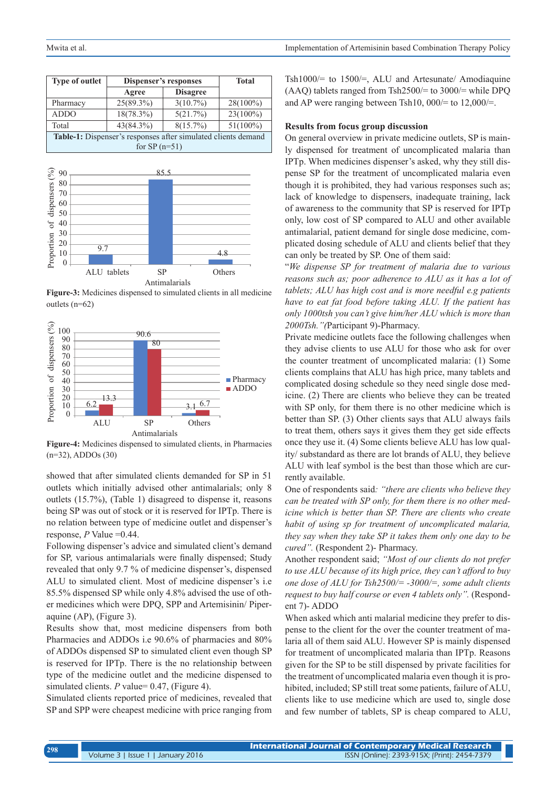| <b>Type of outlet</b>                                                | Dispenser's responses |                 | <b>Total</b> |
|----------------------------------------------------------------------|-----------------------|-----------------|--------------|
|                                                                      | Agree                 | <b>Disagree</b> |              |
| Pharmacy                                                             | $25(89.3\%)$          | $3(10.7\%)$     | $28(100\%)$  |
| <b>ADDO</b>                                                          | $18(78.3\%)$          | 5(21.7%)        | $23(100\%)$  |
| Total                                                                | 43(84.3%)             | $8(15.7\%)$     | $51(100\%)$  |
| <b>Table-1:</b> Dispenser's responses after simulated clients demand |                       |                 |              |
| for $SP(n=51)$                                                       |                       |                 |              |



**Figure-3:** Medicines dispensed to simulated clients in all medicine outlets (n=62)



**Figure-4:** Medicines dispensed to simulated clients, in Pharmacies (n=32), ADDOs (30)

showed that after simulated clients demanded for SP in 51 outlets which initially advised other antimalarials; only 8 outlets (15.7%), (Table 1) disagreed to dispense it, reasons being SP was out of stock or it is reserved for IPTp. There is no relation between type of medicine outlet and dispenser's response, *P* Value =0.44.

Following dispenser's advice and simulated client's demand for SP, various antimalarials were finally dispensed; Study revealed that only 9.7 % of medicine dispenser's, dispensed ALU to simulated client. Most of medicine dispenser's i.e 85.5% dispensed SP while only 4.8% advised the use of other medicines which were DPQ, SPP and Artemisinin/ Piperaquine (AP), (Figure 3).

Results show that, most medicine dispensers from both Pharmacies and ADDOs i.e 90.6% of pharmacies and 80% of ADDOs dispensed SP to simulated client even though SP is reserved for IPTp. There is the no relationship between type of the medicine outlet and the medicine dispensed to simulated clients. *P* value= 0.47, (Figure 4).

Simulated clients reported price of medicines, revealed that SP and SPP were cheapest medicine with price ranging from Tsh1000/= to 1500/=, ALU and Artesunate/ Amodiaquine (AAQ) tablets ranged from Tsh2500/= to 3000/= while DPQ and AP were ranging between Tsh10,  $000/=$  to 12,000/ $=$ .

## **Results from focus group discussion**

On general overview in private medicine outlets, SP is mainly dispensed for treatment of uncomplicated malaria than IPTp. When medicines dispenser's asked, why they still dispense SP for the treatment of uncomplicated malaria even though it is prohibited, they had various responses such as; lack of knowledge to dispensers, inadequate training, lack of awareness to the community that SP is reserved for IPTp only, low cost of SP compared to ALU and other available antimalarial, patient demand for single dose medicine, complicated dosing schedule of ALU and clients belief that they can only be treated by SP. One of them said:

"*We dispense SP for treatment of malaria due to various reasons such as; poor adherence to ALU as it has a lot of tablets; ALU has high cost and is more needful e.g patients have to eat fat food before taking ALU. If the patient has only 1000tsh you can't give him/her ALU which is more than 2000Tsh."(*Participant 9)-Pharmacy.

Private medicine outlets face the following challenges when they advise clients to use ALU for those who ask for over the counter treatment of uncomplicated malaria: (1) Some clients complains that ALU has high price, many tablets and complicated dosing schedule so they need single dose medicine. (2) There are clients who believe they can be treated with SP only, for them there is no other medicine which is better than SP. (3) Other clients says that ALU always fails to treat them, others says it gives them they get side effects once they use it. (4) Some clients believe ALU has low quality/ substandard as there are lot brands of ALU, they believe ALU with leaf symbol is the best than those which are currently available.

One of respondents said*: "there are clients who believe they can be treated with SP only, for them there is no other medicine which is better than SP. There are clients who create habit of using sp for treatment of uncomplicated malaria, they say when they take SP it takes them only one day to be cured".* (Respondent 2)- Pharmacy.

Another respondent said; *"Most of our clients do not prefer to use ALU because of its high price, they can't afford to buy one dose of ALU for Tsh2500/= -3000/=, some adult clients request to buy half course or even 4 tablets only".* (Respondent 7)- ADDO

When asked which anti malarial medicine they prefer to dispense to the client for the over the counter treatment of malaria all of them said ALU. However SP is mainly dispensed for treatment of uncomplicated malaria than IPTp. Reasons given for the SP to be still dispensed by private facilities for the treatment of uncomplicated malaria even though it is prohibited, included; SP still treat some patients, failure of ALU, clients like to use medicine which are used to, single dose and few number of tablets, SP is cheap compared to ALU,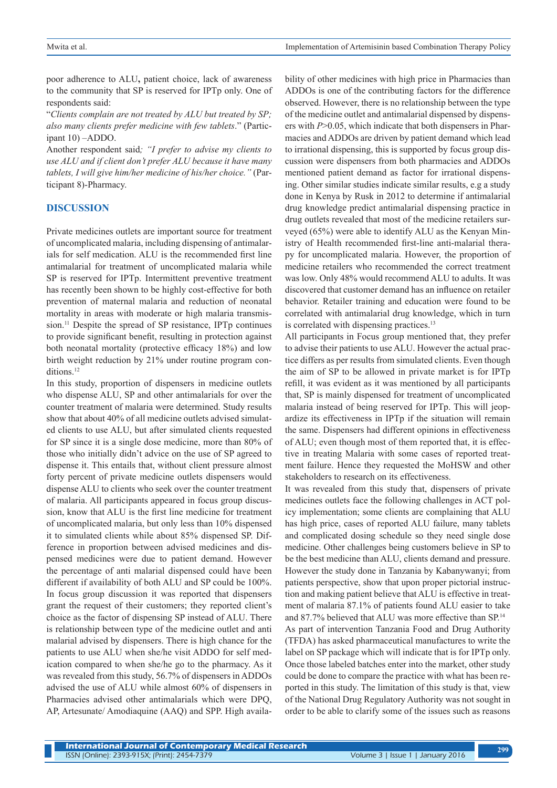poor adherence to ALU**,** patient choice, lack of awareness to the community that SP is reserved for IPTp only. One of respondents said:

"*Clients complain are not treated by ALU but treated by SP; also many clients prefer medicine with few tablets*." (Participant 10) –ADDO.

Another respondent said*; "I prefer to advise my clients to use ALU and if client don't prefer ALU because it have many tablets, I will give him/her medicine of his/her choice."* (Participant 8)-Pharmacy.

## **DISCUSSION**

Private medicines outlets are important source for treatment of uncomplicated malaria, including dispensing of antimalarials for self medication. ALU is the recommended first line antimalarial for treatment of uncomplicated malaria while SP is reserved for IPTp. Intermittent preventive treatment has recently been shown to be highly cost-effective for both prevention of maternal malaria and reduction of neonatal mortality in areas with moderate or high malaria transmission.<sup>11</sup> Despite the spread of SP resistance, IPTp continues to provide significant benefit, resulting in protection against both neonatal mortality (protective efficacy 18%) and low birth weight reduction by 21% under routine program conditions.<sup>12</sup>

In this study, proportion of dispensers in medicine outlets who dispense ALU, SP and other antimalarials for over the counter treatment of malaria were determined. Study results show that about 40% of all medicine outlets advised simulated clients to use ALU, but after simulated clients requested for SP since it is a single dose medicine, more than 80% of those who initially didn't advice on the use of SP agreed to dispense it. This entails that, without client pressure almost forty percent of private medicine outlets dispensers would dispense ALU to clients who seek over the counter treatment of malaria. All participants appeared in focus group discussion, know that ALU is the first line medicine for treatment of uncomplicated malaria, but only less than 10% dispensed it to simulated clients while about 85% dispensed SP. Difference in proportion between advised medicines and dispensed medicines were due to patient demand. However the percentage of anti malarial dispensed could have been different if availability of both ALU and SP could be 100%. In focus group discussion it was reported that dispensers grant the request of their customers; they reported client's choice as the factor of dispensing SP instead of ALU. There is relationship between type of the medicine outlet and anti malarial advised by dispensers. There is high chance for the patients to use ALU when she/he visit ADDO for self medication compared to when she/he go to the pharmacy. As it was revealed from this study, 56.7% of dispensers in ADDOs advised the use of ALU while almost 60% of dispensers in Pharmacies advised other antimalarials which were DPQ, AP, Artesunate/ Amodiaquine (AAQ) and SPP. High availa-

bility of other medicines with high price in Pharmacies than ADDOs is one of the contributing factors for the difference observed. However, there is no relationship between the type of the medicine outlet and antimalarial dispensed by dispensers with *P*>0.05, which indicate that both dispensers in Pharmacies and ADDOs are driven by patient demand which lead to irrational dispensing, this is supported by focus group discussion were dispensers from both pharmacies and ADDOs mentioned patient demand as factor for irrational dispensing. Other similar studies indicate similar results, e.g a study done in Kenya by Rusk in 2012 to determine if antimalarial drug knowledge predict antimalarial dispensing practice in drug outlets revealed that most of the medicine retailers surveyed (65%) were able to identify ALU as the Kenyan Ministry of Health recommended first-line anti-malarial therapy for uncomplicated malaria. However, the proportion of medicine retailers who recommended the correct treatment was low. Only 48% would recommend ALU to adults. It was discovered that customer demand has an influence on retailer behavior. Retailer training and education were found to be correlated with antimalarial drug knowledge, which in turn is correlated with dispensing practices.<sup>13</sup>

All participants in Focus group mentioned that, they prefer to advise their patients to use ALU. However the actual practice differs as per results from simulated clients. Even though the aim of SP to be allowed in private market is for IPTp refill, it was evident as it was mentioned by all participants that, SP is mainly dispensed for treatment of uncomplicated malaria instead of being reserved for IPTp. This will jeopardize its effectiveness in IPTp if the situation will remain the same. Dispensers had different opinions in effectiveness of ALU; even though most of them reported that, it is effective in treating Malaria with some cases of reported treatment failure. Hence they requested the MoHSW and other stakeholders to research on its effectiveness.

It was revealed from this study that, dispensers of private medicines outlets face the following challenges in ACT policy implementation; some clients are complaining that ALU has high price, cases of reported ALU failure, many tablets and complicated dosing schedule so they need single dose medicine. Other challenges being customers believe in SP to be the best medicine than ALU, clients demand and pressure. However the study done in Tanzania by Kabanywanyi; from patients perspective, show that upon proper pictorial instruction and making patient believe that ALU is effective in treatment of malaria 87.1% of patients found ALU easier to take and 87.7% believed that ALU was more effective than SP.<sup>14</sup> As part of intervention Tanzania Food and Drug Authority (TFDA) has asked pharmaceutical manufactures to write the label on SP package which will indicate that is for IPTp only. Once those labeled batches enter into the market, other study could be done to compare the practice with what has been reported in this study. The limitation of this study is that, view of the National Drug Regulatory Authority was not sought in order to be able to clarify some of the issues such as reasons